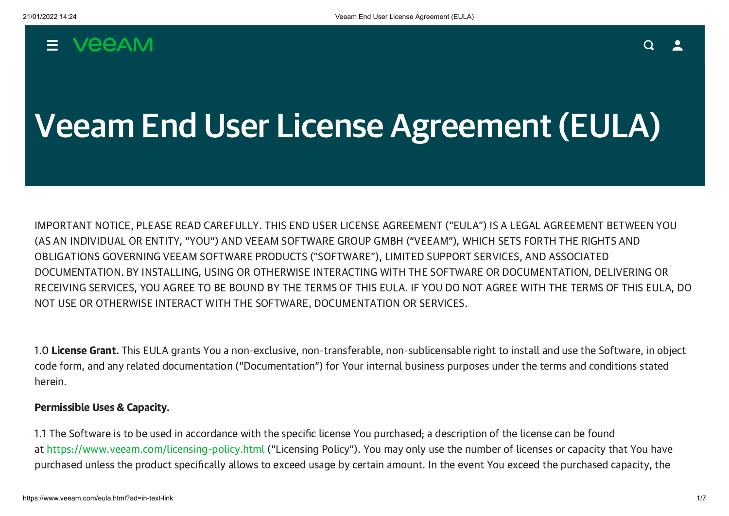# $=$  VeeAM

# Veeam End User License Agreement (EULA)

IMPORTANT NOTICE, PLEASE READ CAREFULLY. THIS END USER LICENSE AGREEMENT ("EULA") IS A LEGAL AGREEMENT BETWEEN YOU (AS AN INDIVIDUAL OR ENTITY, "YOU") AND VEEAM SOFTWARE GROUP GMBH ("VEEAM"), WHICH SETS FORTH THE RIGHTS AND OBLIGATIONS GOVERNING VEEAM SOFTWARE PRODUCTS ("SOFTWARE"), LIMITED SUPPORT SERVICES, AND ASSOCIATED DOCUMENTATION. BY INSTALLING, USING OR OTHERWISE INTERACTING WITH THE SOFTWARE OR DOCUMENTATION, DELIVERING OR RECEIVING SERVICES, YOU AGREE TO BE BOUND BY THE TERMS OF THIS EULA. IF YOU DO NOT AGREE WITH THE TERMS OF THIS EULA, DO NOT USE OR OTHERWISE INTERACT WITH THE SOFTWARE, DOCUMENTATION OR SERVICES.

1.0 License Grant. This EULA grants You a non-exclusive, non-transferable, non-sublicensable right to install and use the Software, in object code form, and any related documentation ("Documentation") for Your internal business purposes under the terms and conditions stated herein.

## Permissible Uses & Capacity.

1.1 The Software is to be used in accordance with the specific license You purchased; a description of the license can be found at [https://www.veeam.com/licensing-policy.html](https://www.veeam.com/licensing-policy.html?ad=in-text-link) ("Licensing Policy"). You may only use the number of licenses or capacity that You have purchased unless the product specifically allows to exceed usage by certain amount. In the event You exceed the purchased capacity, the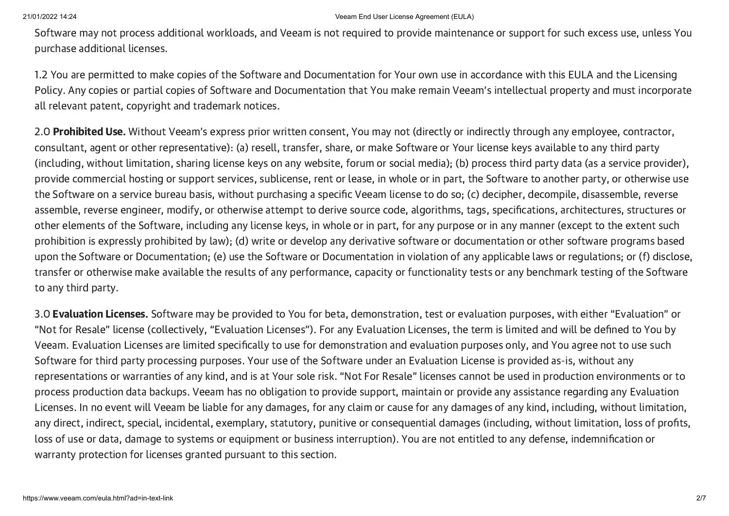Software may not process additional workloads, and Veeam is not required to provide maintenance or support for such excess use, unless You purchase additional licenses.

1.2 You are permitted to make copies of the Software and Documentation for Your own use in accordance with this EULA and the Licensing Policy. Any copies or partial copies of Software and Documentation that You make remain Veeam's intellectual property and must incorporate all relevant patent, copyright and trademark notices.

2.0 Prohibited Use. Without Veeam's express prior written consent, You may not (directly or indirectly through any employee, contractor, consultant, agent or other representative): (a) resell, transfer, share, or make Software or Your license keys available to any third party (including, without limitation, sharing license keys on any website, forum or social media); (b) process third party data (as a service provider), provide commercial hosting or support services, sublicense, rent or lease, in whole or in part, the Software to another party, or otherwise use the Software on a service bureau basis, without purchasing a specific Veeam license to do so; (c) decipher, decompile, disassemble, reverse assemble, reverse engineer, modify, or otherwise attempt to derive source code, algorithms, tags, specifications, architectures, structures or other elements of the Software, including any license keys, in whole or in part, for any purpose or in any manner (except to the extent such prohibition is expressly prohibited by law); (d) write or develop any derivative software or documentation or other software programs based upon the Software or Documentation; (e) use the Software or Documentation in violation of any applicable laws or regulations; or (f) disclose, transfer or otherwise make available the results of any performance, capacity or functionality tests or any benchmark testing of the Software to any third party.

3.0 **Evaluation Licenses.** Software may be provided to You for beta, demonstration, test or evaluation purposes, with either "Evaluation" or "Not for Resale" license (collectively, "Evaluation Licenses"). For any Evaluation Licenses, the term is limited and will be defined to You by Veeam. Evaluation Licenses are limited specifically to use for demonstration and evaluation purposes only, and You agree not to use such Software for third party processing purposes. Your use of the Software under an Evaluation License is provided as-is, without any representations or warranties of any kind, and is at Your sole risk. "Not For Resale" licenses cannot be used in production environments or to process production data backups. Veeam has no obligation to provide support, maintain or provide any assistance regarding any Evaluation Licenses. In no event will Veeam be liable for any damages, for any claim or cause for any damages of any kind, including, without limitation, any direct, indirect, special, incidental, exemplary, statutory, punitive or consequential damages (including, without limitation, loss of profits, loss of use or data, damage to systems or equipment or business interruption). You are not entitled to any defense, indemnification or warranty protection for licenses granted pursuant to this section.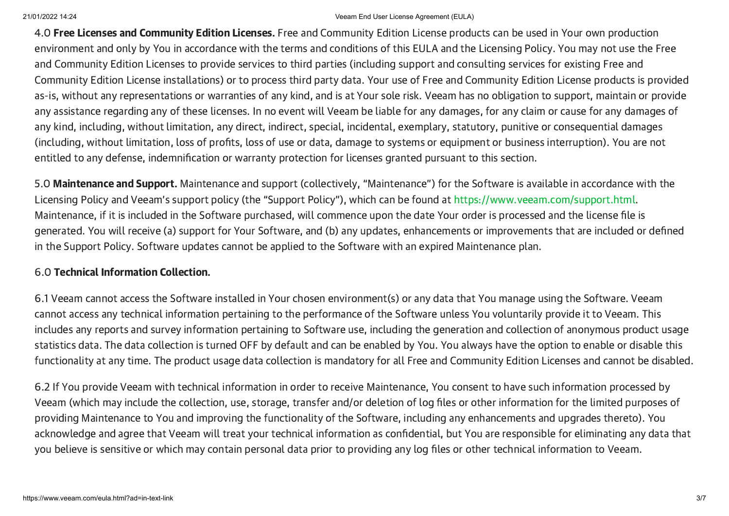4.0 Free Licenses and Community Edition Licenses. Free and Community Edition License products can be used in Your own production environment and only by You in accordance with the terms and conditions of this EULA and the Licensing Policy. You may not use the Free and Community Edition Licenses to provide services to third parties (including support and consulting services for existing Free and Community Edition License installations) or to process third party data. Your use of Free and Community Edition License products is provided as-is, without any representations or warranties of any kind, and is at Your sole risk. Veeam has no obligation to support, maintain or provide any assistance regarding any of these licenses. In no event will Veeam be liable for any damages, for any claim or cause for any damages of any kind, including, without limitation, any direct, indirect, special, incidental, exemplary, statutory, punitive or consequential damages (including, without limitation, loss of profits, loss of use or data, damage to systems or equipment or business interruption). You are not entitled to any defense, indemnification or warranty protection for licenses granted pursuant to this section.

5.0 Maintenance and Support. Maintenance and support (collectively, "Maintenance") for the Software is available in accordance with the Licensing Policy and Veeam's support policy (the "Support Policy"), which can be found at [https://www.veeam.com/support.html.](https://www.veeam.com/support.html?ad=in-text-link) Maintenance, if it is included in the Software purchased, will commence upon the date Your order is processed and the license file is generated. You will receive (a) support for Your Software, and (b) any updates, enhancements or improvements that are included or defined in the Support Policy. Software updates cannot be applied to the Software with an expired Maintenance plan.

## 6.0 Technical Information Collection.

6.1 Veeam cannot access the Software installed in Your chosen environment(s) or any data that You manage using the Software. Veeam cannot access any technical information pertaining to the performance of the Software unless You voluntarily provide it to Veeam. This includes any reports and survey information pertaining to Software use, including the generation and collection of anonymous product usage statistics data. The data collection is turned OFF by default and can be enabled by You. You always have the option to enable or disable this functionality at any time. The product usage data collection is mandatory for all Free and Community Edition Licenses and cannot be disabled.

6.2 If You provide Veeam with technical information in order to receive Maintenance, You consent to have such information processed by Veeam (which may include the collection, use, storage, transfer and/or deletion of log files or other information for the limited purposes of providing Maintenance to You and improving the functionality of the Software, including any enhancements and upgrades thereto). You acknowledge and agree that Veeam will treat your technical information as confidential, but You are responsible for eliminating any data that you believe is sensitive or which may contain personal data prior to providing any log files or other technical information to Veeam.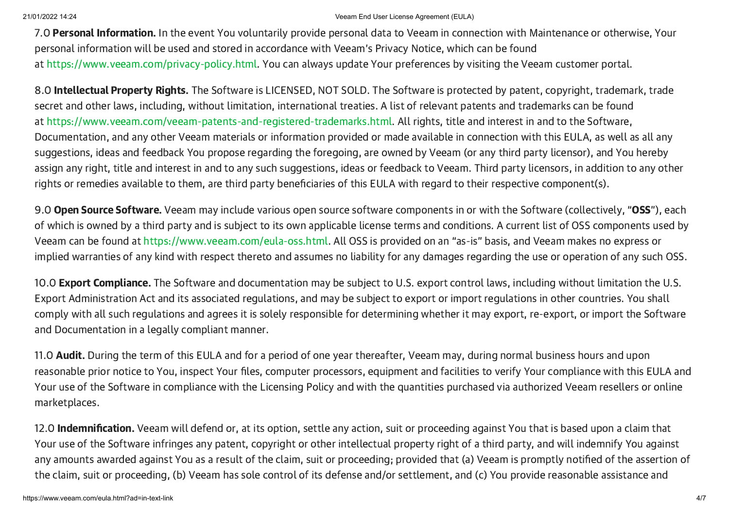7.0 Personal Information. In the event You voluntarily provide personal data to Veeam in connection with Maintenance or otherwise, Your personal information will be used and stored in accordance with Veeam's Privacy Notice, which can be found at [https://www.veeam.com/privacy-policy.html](https://www.veeam.com/privacy-policy.html?ad=in-text-link). You can always update Your preferences by visiting the Veeam customer portal.

8.0 Intellectual Property Rights. The Software is LICENSED, NOT SOLD. The Software is protected by patent, copyright, trademark, trade secret and other laws, including, without limitation, international treaties. A list of relevant patents and trademarks can be found at [https://www.veeam.com/veeam-patents-and-registered-trademarks.html.](https://www.veeam.com/veeam-patents-and-registered-trademarks.html?ad=in-text-link) All rights, title and interest in and to the Software, Documentation, and any other Veeam materials or information provided or made available in connection with this EULA, as well as all any suggestions, ideas and feedback You propose regarding the foregoing, are owned by Veeam (or any third party licensor), and You hereby assign any right, title and interest in and to any such suggestions, ideas or feedback to Veeam. Third party licensors, in addition to any other rights or remedies available to them, are third party beneficiaries of this EULA with regard to their respective component(s).

9.0 Open Source Software. Veeam may include various open source software components in or with the Software (collectively, "OSS"), each of which is owned by a third party and is subject to its own applicable license terms and conditions. A current list of OSS components used by Veeam can be found at [https://www.veeam.com/eula-oss.html.](https://www.veeam.com/eula-oss.html?ad=in-text-link) All OSS is provided on an "as-is" basis, and Veeam makes no express or implied warranties of any kind with respect thereto and assumes no liability for any damages regarding the use or operation of any such OSS.

10.0 **Export Compliance.** The Software and documentation may be subject to U.S. export control laws, including without limitation the U.S. Export Administration Act and its associated regulations, and may be subject to export or import regulations in other countries. You shall comply with all such regulations and agrees it is solely responsible for determining whether it may export, re-export, or import the Software and Documentation in a legally compliant manner.

11.0 Audit. During the term of this EULA and for a period of one year thereafter, Veeam may, during normal business hours and upon reasonable prior notice to You, inspect Your files, computer processors, equipment and facilities to verify Your compliance with this EULA and Your use of the Software in compliance with the Licensing Policy and with the quantities purchased via authorized Veeam resellers or online marketplaces.

12.0 **Indemnification.** Veeam will defend or, at its option, settle any action, suit or proceeding against You that is based upon a claim that Your use of the Software infringes any patent, copyright or other intellectual property right of a third party, and will indemnify You against any amounts awarded against You as a result of the claim, suit or proceeding; provided that (a) Veeam is promptly notified of the assertion of the claim, suit or proceeding, (b) Veeam has sole control of its defense and/or settlement, and (c) You provide reasonable assistance and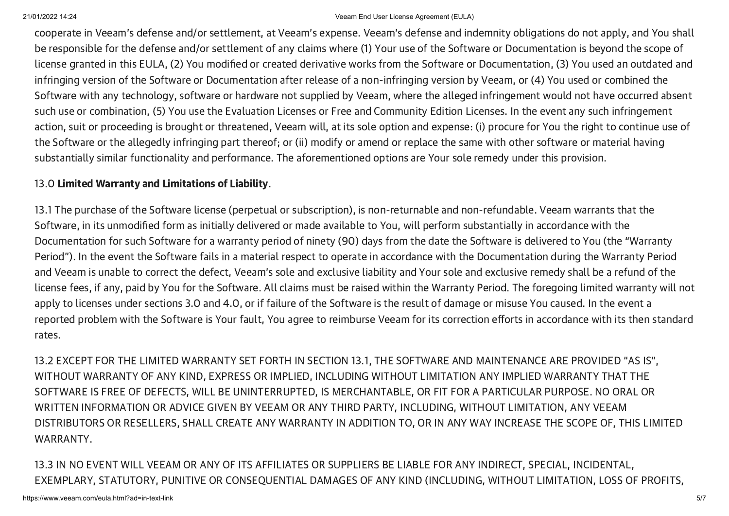cooperate in Veeam's defense and/or settlement, at Veeam's expense. Veeam's defense and indemnity obligations do not apply, and You shall be responsible for the defense and/or settlement of any claims where (1) Your use of the Software or Documentation is beyond the scope of license granted in this EULA, (2) You modified or created derivative works from the Software or Documentation, (3) You used an outdated and infringing version of the Software or Documentation after release of a non-infringing version by Veeam, or (4) You used or combined the Software with any technology, software or hardware not supplied by Veeam, where the alleged infringement would not have occurred absent such use or combination, (5) You use the Evaluation Licenses or Free and Community Edition Licenses. In the event any such infringement action, suit or proceeding is brought or threatened, Veeam will, at its sole option and expense: (i) procure for You the right to continue use of the Software or the allegedly infringing part thereof; or (ii) modify or amend or replace the same with other software or material having substantially similar functionality and performance. The aforementioned options are Your sole remedy under this provision.

## 13.0 Limited Warranty and Limitations of Liability.

13.1 The purchase of the Software license (perpetual or subscription), is non-returnable and non-refundable. Veeam warrants that the Software, in its unmodified form as initially delivered or made available to You, will perform substantially in accordance with the Documentation for such Software for a warranty period of ninety (90) days from the date the Software is delivered to You (the "Warranty Period"). In the event the Software fails in a material respect to operate in accordance with the Documentation during the Warranty Period and Veeam is unable to correct the defect, Veeam's sole and exclusive liability and Your sole and exclusive remedy shall be a refund of the license fees, if any, paid by You for the Software. All claims must be raised within the Warranty Period. The foregoing limited warranty will not apply to licenses under sections 3.0 and 4.0, or if failure of the Software is the result of damage or misuse You caused. In the event a reported problem with the Software is Your fault, You agree to reimburse Veeam for its correction efforts in accordance with its then standard rates.

13.2 EXCEPT FOR THE LIMITED WARRANTY SET FORTH IN SECTION 13.1, THE SOFTWARE AND MAINTENANCE ARE PROVIDED "AS IS", WITHOUT WARRANTY OF ANY KIND, EXPRESS OR IMPLIED, INCLUDING WITHOUT LIMITATION ANY IMPLIED WARRANTY THAT THE SOFTWARE IS FREE OF DEFECTS, WILL BE UNINTERRUPTED, IS MERCHANTABLE, OR FIT FOR A PARTICULAR PURPOSE. NO ORAL OR WRITTEN INFORMATION OR ADVICE GIVEN BY VEEAM OR ANY THIRD PARTY, INCLUDING, WITHOUT LIMITATION, ANY VEEAM DISTRIBUTORS OR RESELLERS, SHALL CREATE ANY WARRANTY IN ADDITION TO, OR IN ANY WAY INCREASE THE SCOPE OF, THIS LIMITED WARRANTY.

13.3 IN NO EVENT WILL VEEAM OR ANY OF ITS AFFILIATES OR SUPPLIERS BE LIABLE FOR ANY INDIRECT, SPECIAL, INCIDENTAL, EXEMPLARY, STATUTORY, PUNITIVE OR CONSEQUENTIAL DAMAGES OF ANY KIND (INCLUDING, WITHOUT LIMITATION, LOSS OF PROFITS,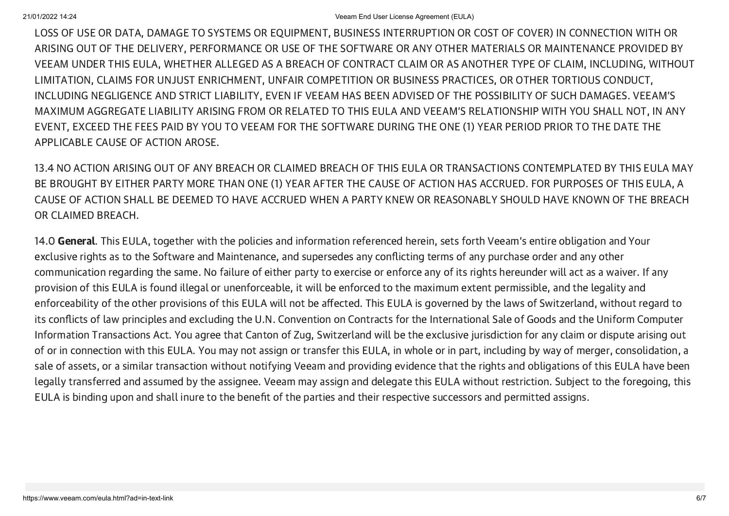LOSS OF USE OR DATA, DAMAGE TO SYSTEMS OR EQUIPMENT, BUSINESS INTERRUPTION OR COST OF COVER) IN CONNECTION WITH OR ARISING OUT OF THE DELIVERY, PERFORMANCE OR USE OF THE SOFTWARE OR ANY OTHER MATERIALS OR MAINTENANCE PROVIDED BY VEEAM UNDER THIS EULA, WHETHER ALLEGED AS A BREACH OF CONTRACT CLAIM OR AS ANOTHER TYPE OF CLAIM, INCLUDING, WITHOUT LIMITATION, CLAIMS FOR UNJUST ENRICHMENT, UNFAIR COMPETITION OR BUSINESS PRACTICES, OR OTHER TORTIOUS CONDUCT, INCLUDING NEGLIGENCE AND STRICT LIABILITY, EVEN IF VEEAM HAS BEEN ADVISED OF THE POSSIBILITY OF SUCH DAMAGES. VEEAM'S MAXIMUM AGGREGATE LIABILITY ARISING FROM OR RELATED TO THIS EULA AND VEEAM'S RELATIONSHIP WITH YOU SHALL NOT, IN ANY EVENT, EXCEED THE FEES PAID BY YOU TO VEEAM FOR THE SOFTWARE DURING THE ONE (1) YEAR PERIOD PRIOR TO THE DATE THE APPLICABLE CAUSE OF ACTION AROSE.

13.4 NO ACTION ARISING OUT OF ANY BREACH OR CLAIMED BREACH OF THIS EULA OR TRANSACTIONS CONTEMPLATED BY THIS EULA MAY BE BROUGHT BY EITHER PARTY MORE THAN ONE (1) YEAR AFTER THE CAUSE OF ACTION HAS ACCRUED. FOR PURPOSES OF THIS EULA, A CAUSE OF ACTION SHALL BE DEEMED TO HAVE ACCRUED WHEN A PARTY KNEW OR REASONABLY SHOULD HAVE KNOWN OF THE BREACH OR CLAIMED BREACH.

14.0 General. This EULA, together with the policies and information referenced herein, sets forth Veeam's entire obligation and Your exclusive rights as to the Software and Maintenance, and supersedes any conflicting terms of any purchase order and any other communication regarding the same. No failure of either party to exercise or enforce any of its rights hereunder will act as a waiver. If any provision of this EULA is found illegal or unenforceable, it will be enforced to the maximum extent permissible, and the legality and enforceability of the other provisions of this EULA will not be affected. This EULA is governed by the laws of Switzerland, without regard to its conflicts of law principles and excluding the U.N. Convention on Contracts for the International Sale of Goods and the Uniform Computer Information Transactions Act. You agree that Canton of Zug, Switzerland will be the exclusive jurisdiction for any claim or dispute arising out of or in connection with this EULA. You may not assign or transfer this EULA, in whole or in part, including by way of merger, consolidation, a sale of assets, or a similar transaction without notifying Veeam and providing evidence that the rights and obligations of this EULA have been legally transferred and assumed by the assignee. Veeam may assign and delegate this EULA without restriction. Subject to the foregoing, this EULA is binding upon and shall inure to the benefit of the parties and their respective successors and permitted assigns.